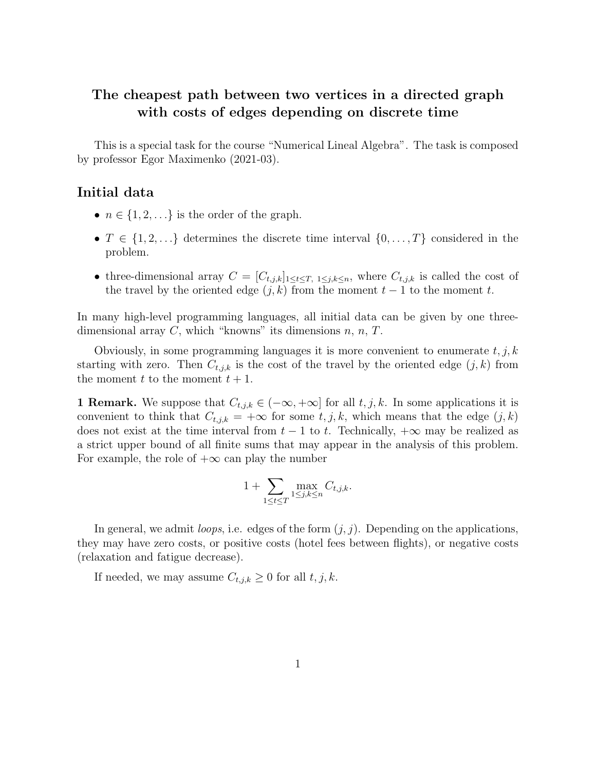## The cheapest path between two vertices in a directed graph with costs of edges depending on discrete time

This is a special task for the course "Numerical Lineal Algebra". The task is composed by professor Egor Maximenko (2021-03).

### Initial data

- $n \in \{1, 2, \ldots\}$  is the order of the graph.
- $T \in \{1, 2, ...\}$  determines the discrete time interval  $\{0, \ldots, T\}$  considered in the problem.
- three-dimensional array  $C = [C_{t,j,k}]_{1 \le t \le T, 1 \le j,k \le n}$ , where  $C_{t,j,k}$  is called the cost of the travel by the oriented edge  $(j, k)$  from the moment  $t - 1$  to the moment t.

In many high-level programming languages, all initial data can be given by one threedimensional array  $C$ , which "knowns" its dimensions  $n, n, T$ .

Obviously, in some programming languages it is more convenient to enumerate  $t, j, k$ starting with zero. Then  $C_{t,j,k}$  is the cost of the travel by the oriented edge  $(j, k)$  from the moment  $t$  to the moment  $t + 1$ .

1 Remark. We suppose that  $C_{t,j,k} \in (-\infty, +\infty]$  for all  $t, j, k$ . In some applications it is convenient to think that  $C_{t,j,k} = +\infty$  for some  $t, j, k$ , which means that the edge  $(j, k)$ does not exist at the time interval from  $t-1$  to t. Technically,  $+\infty$  may be realized as a strict upper bound of all finite sums that may appear in the analysis of this problem. For example, the role of  $+\infty$  can play the number

$$
1 + \sum_{1 \leq t \leq T} \max_{1 \leq j,k \leq n} C_{t,j,k}.
$$

In general, we admit *loops*, i.e. edges of the form  $(j, j)$ . Depending on the applications, they may have zero costs, or positive costs (hotel fees between flights), or negative costs (relaxation and fatigue decrease).

If needed, we may assume  $C_{t,j,k} \geq 0$  for all  $t, j, k$ .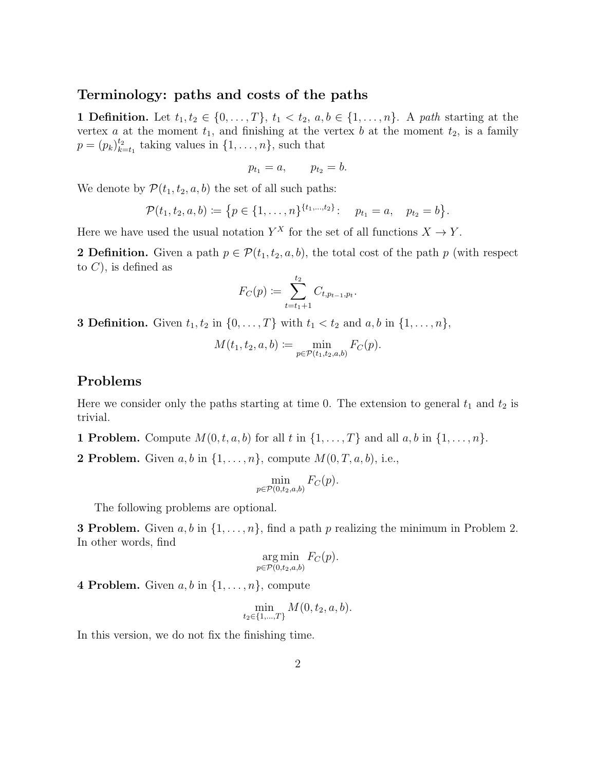#### Terminology: paths and costs of the paths

1 Definition. Let  $t_1, t_2 \in \{0, \ldots, T\}, t_1 < t_2, a, b \in \{1, \ldots, n\}.$  A path starting at the vertex a at the moment  $t_1$ , and finishing at the vertex b at the moment  $t_2$ , is a family  $p = (p_k)_{k=1}^{t_2}$  $_{k=t_1}^{t_2}$  taking values in  $\{1,\ldots,n\}$ , such that

$$
p_{t_1}=a, \qquad p_{t_2}=b.
$$

We denote by  $\mathcal{P}(t_1, t_2, a, b)$  the set of all such paths:

$$
\mathcal{P}(t_1,t_2,a,b) \coloneqq \{p \in \{1,\ldots,n\}^{\{t_1,\ldots,t_2\}}:\quad p_{t_1}=a,\quad p_{t_2}=b\}.
$$

Here we have used the usual notation  $Y^X$  for the set of all functions  $X \to Y$ .

2 Definition. Given a path  $p \in \mathcal{P}(t_1, t_2, a, b)$ , the total cost of the path p (with respect to  $C$ , is defined as

$$
F_C(p) := \sum_{t=t_1+1}^{t_2} C_{t, p_{t-1}, p_t}.
$$

**3 Definition.** Given  $t_1, t_2$  in  $\{0, \ldots, T\}$  with  $t_1 < t_2$  and  $a, b$  in  $\{1, \ldots, n\}$ ,

$$
M(t_1, t_2, a, b) := \min_{p \in \mathcal{P}(t_1, t_2, a, b)} F_C(p).
$$

### Problems

Here we consider only the paths starting at time 0. The extension to general  $t_1$  and  $t_2$  is trivial.

- **1 Problem.** Compute  $M(0, t, a, b)$  for all t in  $\{1, \ldots, T\}$  and all  $a, b$  in  $\{1, \ldots, n\}$ .
- **2 Problem.** Given  $a, b$  in  $\{1, \ldots, n\}$ , compute  $M(0, T, a, b)$ , i.e.,

$$
\min_{p \in \mathcal{P}(0,t_2,a,b)} F_C(p).
$$

The following problems are optional.

**3 Problem.** Given  $a, b$  in  $\{1, \ldots, n\}$ , find a path p realizing the minimum in Problem 2. In other words, find

$$
\underset{p \in \mathcal{P}(0,t_2,a,b)}{\arg \min} F_C(p).
$$

4 Problem. Given  $a, b$  in  $\{1, \ldots, n\}$ , compute

$$
\min_{t_2 \in \{1,\dots,T\}} M(0, t_2, a, b).
$$

In this version, we do not fix the finishing time.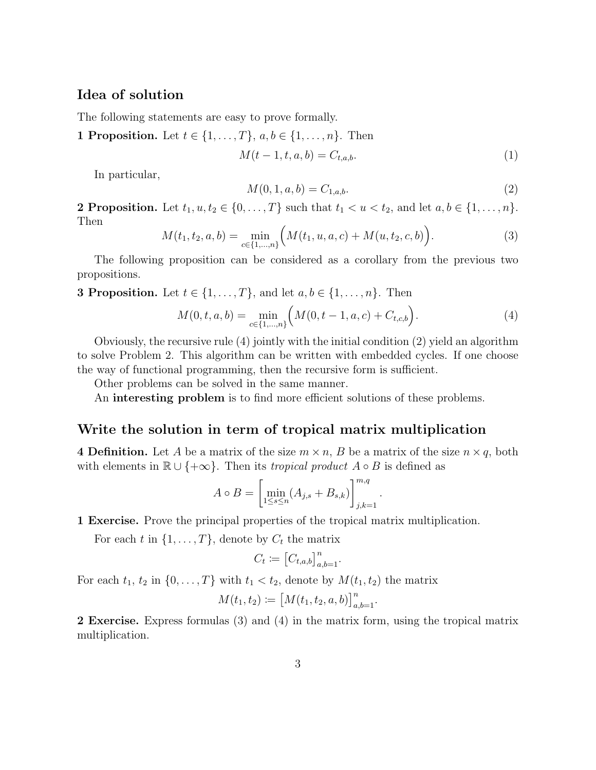## Idea of solution

The following statements are easy to prove formally.

**1 Proposition.** Let  $t \in \{1, ..., T\}$ ,  $a, b \in \{1, ..., n\}$ . Then

$$
M(t-1, t, a, b) = C_{t, a, b}.
$$
\n(1)

In particular,

$$
M(0, 1, a, b) = C_{1, a, b}.\t\t(2)
$$

.

**2 Proposition.** Let  $t_1, u, t_2 \in \{0, ..., T\}$  such that  $t_1 < u < t_2$ , and let  $a, b \in \{1, ..., n\}$ . Then

$$
M(t_1, t_2, a, b) = \min_{c \in \{1, \dots, n\}} \Big( M(t_1, u, a, c) + M(u, t_2, c, b) \Big). \tag{3}
$$

The following proposition can be considered as a corollary from the previous two propositions.

**3 Proposition.** Let  $t \in \{1, ..., T\}$ , and let  $a, b \in \{1, ..., n\}$ . Then

$$
M(0, t, a, b) = \min_{c \in \{1, \dots, n\}} \left( M(0, t - 1, a, c) + C_{t, c, b} \right).
$$
 (4)

Obviously, the recursive rule (4) jointly with the initial condition (2) yield an algorithm to solve Problem 2. This algorithm can be written with embedded cycles. If one choose the way of functional programming, then the recursive form is sufficient.

Other problems can be solved in the same manner.

An interesting problem is to find more efficient solutions of these problems.

#### Write the solution in term of tropical matrix multiplication

4 **Definition.** Let A be a matrix of the size  $m \times n$ , B be a matrix of the size  $n \times q$ , both with elements in  $\mathbb{R} \cup \{+\infty\}$ . Then its *tropical product*  $A \circ B$  is defined as

$$
A \circ B = \left[ \min_{1 \le s \le n} (A_{j,s} + B_{s,k}) \right]_{j,k=1}^{m,q}
$$

1 Exercise. Prove the principal properties of the tropical matrix multiplication.

For each t in  $\{1, \ldots, T\}$ , denote by  $C_t$  the matrix

$$
C_t \coloneqq \left[C_{t,a,b}\right]_{a,b=1}^n.
$$

For each  $t_1$ ,  $t_2$  in  $\{0, \ldots, T\}$  with  $t_1 < t_2$ , denote by  $M(t_1, t_2)$  the matrix

$$
M(t_1, t_2) \coloneqq \big[M(t_1, t_2, a, b)\big]_{a, b=1}^n.
$$

2 Exercise. Express formulas (3) and (4) in the matrix form, using the tropical matrix multiplication.